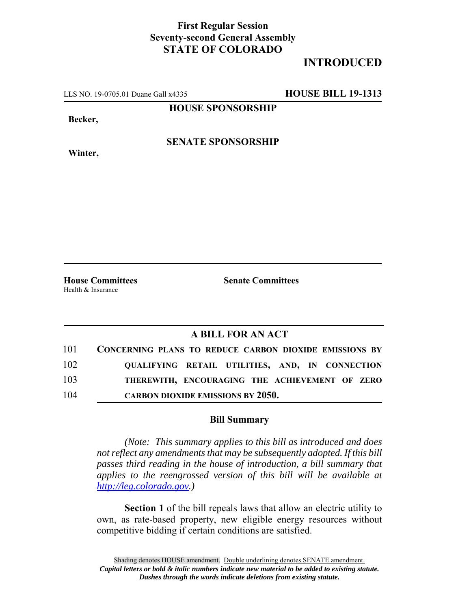## **First Regular Session Seventy-second General Assembly STATE OF COLORADO**

## **INTRODUCED**

LLS NO. 19-0705.01 Duane Gall x4335 **HOUSE BILL 19-1313**

**HOUSE SPONSORSHIP**

**Becker,**

**Winter,**

**SENATE SPONSORSHIP**

Health & Insurance

**House Committees Senate Committees** 

## **A BILL FOR AN ACT**

| 101 | <b>CONCERNING PLANS TO REDUCE CARBON DIOXIDE EMISSIONS BY</b> |
|-----|---------------------------------------------------------------|
| 102 | QUALIFYING RETAIL UTILITIES, AND, IN CONNECTION               |
| 103 | THEREWITH, ENCOURAGING THE ACHIEVEMENT OF ZERO                |
| 104 | <b>CARBON DIOXIDE EMISSIONS BY 2050.</b>                      |

## **Bill Summary**

*(Note: This summary applies to this bill as introduced and does not reflect any amendments that may be subsequently adopted. If this bill passes third reading in the house of introduction, a bill summary that applies to the reengrossed version of this bill will be available at http://leg.colorado.gov.)*

**Section 1** of the bill repeals laws that allow an electric utility to own, as rate-based property, new eligible energy resources without competitive bidding if certain conditions are satisfied.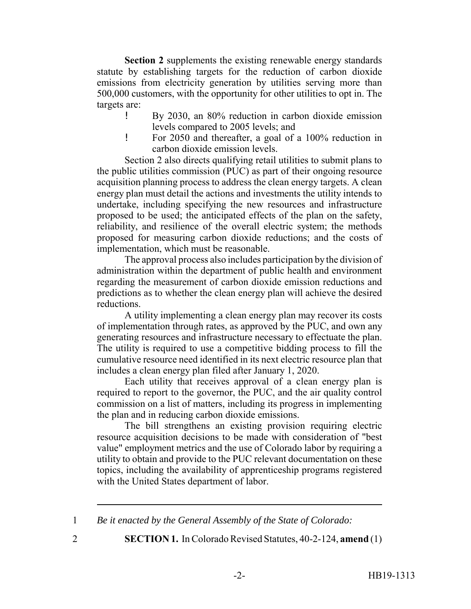**Section 2** supplements the existing renewable energy standards statute by establishing targets for the reduction of carbon dioxide emissions from electricity generation by utilities serving more than 500,000 customers, with the opportunity for other utilities to opt in. The targets are:

- ! By 2030, an 80% reduction in carbon dioxide emission levels compared to 2005 levels; and
- ! For 2050 and thereafter, a goal of a 100% reduction in carbon dioxide emission levels.

Section 2 also directs qualifying retail utilities to submit plans to the public utilities commission (PUC) as part of their ongoing resource acquisition planning process to address the clean energy targets. A clean energy plan must detail the actions and investments the utility intends to undertake, including specifying the new resources and infrastructure proposed to be used; the anticipated effects of the plan on the safety, reliability, and resilience of the overall electric system; the methods proposed for measuring carbon dioxide reductions; and the costs of implementation, which must be reasonable.

The approval process also includes participation by the division of administration within the department of public health and environment regarding the measurement of carbon dioxide emission reductions and predictions as to whether the clean energy plan will achieve the desired reductions.

A utility implementing a clean energy plan may recover its costs of implementation through rates, as approved by the PUC, and own any generating resources and infrastructure necessary to effectuate the plan. The utility is required to use a competitive bidding process to fill the cumulative resource need identified in its next electric resource plan that includes a clean energy plan filed after January 1, 2020.

Each utility that receives approval of a clean energy plan is required to report to the governor, the PUC, and the air quality control commission on a list of matters, including its progress in implementing the plan and in reducing carbon dioxide emissions.

The bill strengthens an existing provision requiring electric resource acquisition decisions to be made with consideration of "best value" employment metrics and the use of Colorado labor by requiring a utility to obtain and provide to the PUC relevant documentation on these topics, including the availability of apprenticeship programs registered with the United States department of labor.

1 *Be it enacted by the General Assembly of the State of Colorado:*

2 **SECTION 1.** In Colorado Revised Statutes, 40-2-124, **amend** (1)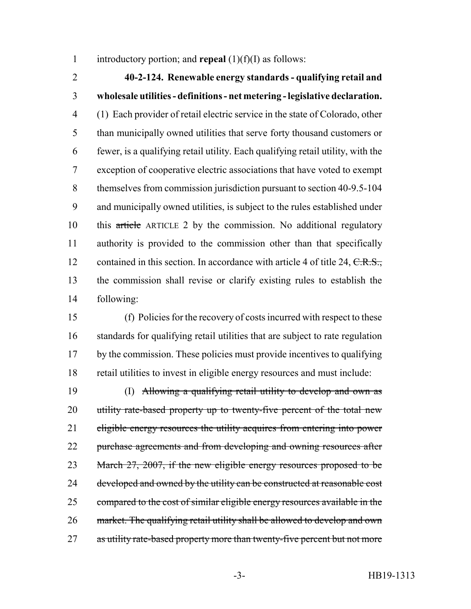introductory portion; and **repeal** (1)(f)(I) as follows:

 **40-2-124. Renewable energy standards - qualifying retail and wholesale utilities - definitions - net metering - legislative declaration.** (1) Each provider of retail electric service in the state of Colorado, other than municipally owned utilities that serve forty thousand customers or fewer, is a qualifying retail utility. Each qualifying retail utility, with the exception of cooperative electric associations that have voted to exempt themselves from commission jurisdiction pursuant to section 40-9.5-104 and municipally owned utilities, is subject to the rules established under this article ARTICLE 2 by the commission. No additional regulatory authority is provided to the commission other than that specifically 12 contained in this section. In accordance with article 4 of title 24, C.R.S., the commission shall revise or clarify existing rules to establish the following:

 (f) Policies for the recovery of costs incurred with respect to these standards for qualifying retail utilities that are subject to rate regulation by the commission. These policies must provide incentives to qualifying retail utilities to invest in eligible energy resources and must include:

 (I) Allowing a qualifying retail utility to develop and own as 20 utility rate-based property up to twenty-five percent of the total new 21 eligible energy resources the utility acquires from entering into power 22 purchase agreements and from developing and owning resources after 23 March 27, 2007, if the new eligible energy resources proposed to be 24 developed and owned by the utility can be constructed at reasonable cost compared to the cost of similar eligible energy resources available in the market. The qualifying retail utility shall be allowed to develop and own 27 as utility rate-based property more than twenty-five percent but not more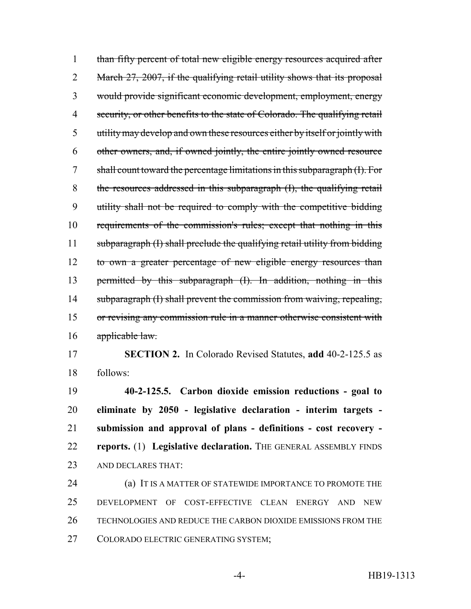than fifty percent of total new eligible energy resources acquired after 2 March 27, 2007, if the qualifying retail utility shows that its proposal would provide significant economic development, employment, energy security, or other benefits to the state of Colorado. The qualifying retail utility may develop and own these resources either by itself or jointly with other owners, and, if owned jointly, the entire jointly owned resource shall count toward the percentage limitations in this subparagraph (I). For the resources addressed in this subparagraph (I), the qualifying retail utility shall not be required to comply with the competitive bidding requirements of the commission's rules; except that nothing in this subparagraph (I) shall preclude the qualifying retail utility from bidding to own a greater percentage of new eligible energy resources than permitted by this subparagraph (I). In addition, nothing in this 14 subparagraph (I) shall prevent the commission from waiving, repealing, or revising any commission rule in a manner otherwise consistent with 16 applicable law.

 **SECTION 2.** In Colorado Revised Statutes, **add** 40-2-125.5 as follows:

 **40-2-125.5. Carbon dioxide emission reductions - goal to eliminate by 2050 - legislative declaration - interim targets - submission and approval of plans - definitions - cost recovery - reports.** (1) **Legislative declaration.** THE GENERAL ASSEMBLY FINDS AND DECLARES THAT:

**(a) IT IS A MATTER OF STATEWIDE IMPORTANCE TO PROMOTE THE**  DEVELOPMENT OF COST-EFFECTIVE CLEAN ENERGY AND NEW TECHNOLOGIES AND REDUCE THE CARBON DIOXIDE EMISSIONS FROM THE COLORADO ELECTRIC GENERATING SYSTEM;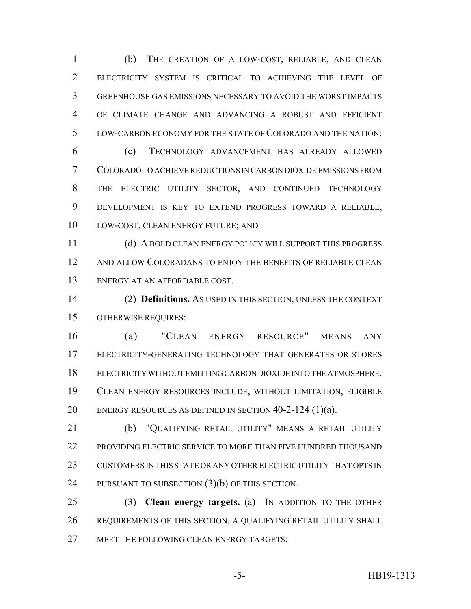(b) THE CREATION OF A LOW-COST, RELIABLE, AND CLEAN ELECTRICITY SYSTEM IS CRITICAL TO ACHIEVING THE LEVEL OF GREENHOUSE GAS EMISSIONS NECESSARY TO AVOID THE WORST IMPACTS OF CLIMATE CHANGE AND ADVANCING A ROBUST AND EFFICIENT LOW-CARBON ECONOMY FOR THE STATE OF COLORADO AND THE NATION;

 (c) TECHNOLOGY ADVANCEMENT HAS ALREADY ALLOWED COLORADO TO ACHIEVE REDUCTIONS IN CARBON DIOXIDE EMISSIONS FROM THE ELECTRIC UTILITY SECTOR, AND CONTINUED TECHNOLOGY DEVELOPMENT IS KEY TO EXTEND PROGRESS TOWARD A RELIABLE, LOW-COST, CLEAN ENERGY FUTURE; AND

 (d) A BOLD CLEAN ENERGY POLICY WILL SUPPORT THIS PROGRESS AND ALLOW COLORADANS TO ENJOY THE BENEFITS OF RELIABLE CLEAN ENERGY AT AN AFFORDABLE COST.

 (2) **Definitions.** AS USED IN THIS SECTION, UNLESS THE CONTEXT OTHERWISE REQUIRES:

 (a) "CLEAN ENERGY RESOURCE" MEANS ANY ELECTRICITY-GENERATING TECHNOLOGY THAT GENERATES OR STORES ELECTRICITY WITHOUT EMITTING CARBON DIOXIDE INTO THE ATMOSPHERE. CLEAN ENERGY RESOURCES INCLUDE, WITHOUT LIMITATION, ELIGIBLE ENERGY RESOURCES AS DEFINED IN SECTION 40-2-124 (1)(a).

 (b) "QUALIFYING RETAIL UTILITY" MEANS A RETAIL UTILITY PROVIDING ELECTRIC SERVICE TO MORE THAN FIVE HUNDRED THOUSAND CUSTOMERS IN THIS STATE OR ANY OTHER ELECTRIC UTILITY THAT OPTS IN 24 PURSUANT TO SUBSECTION (3)(b) OF THIS SECTION.

 (3) **Clean energy targets.** (a) IN ADDITION TO THE OTHER REQUIREMENTS OF THIS SECTION, A QUALIFYING RETAIL UTILITY SHALL 27 MEET THE FOLLOWING CLEAN ENERGY TARGETS: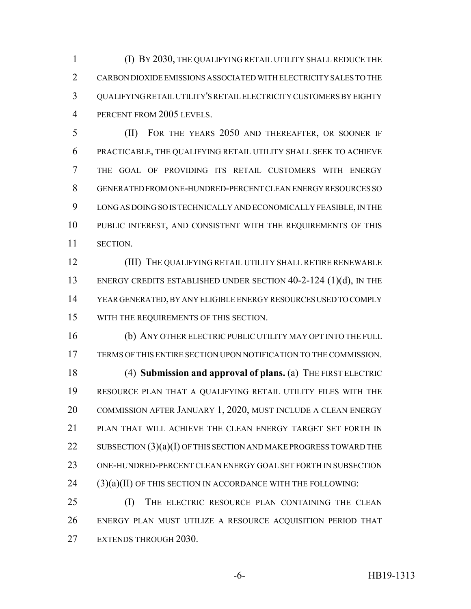(I) BY 2030, THE QUALIFYING RETAIL UTILITY SHALL REDUCE THE CARBON DIOXIDE EMISSIONS ASSOCIATED WITH ELECTRICITY SALES TO THE QUALIFYING RETAIL UTILITY'S RETAIL ELECTRICITY CUSTOMERS BY EIGHTY PERCENT FROM 2005 LEVELS.

 (II) FOR THE YEARS 2050 AND THEREAFTER, OR SOONER IF PRACTICABLE, THE QUALIFYING RETAIL UTILITY SHALL SEEK TO ACHIEVE THE GOAL OF PROVIDING ITS RETAIL CUSTOMERS WITH ENERGY GENERATED FROM ONE-HUNDRED-PERCENT CLEAN ENERGY RESOURCES SO LONG AS DOING SO IS TECHNICALLY AND ECONOMICALLY FEASIBLE, IN THE PUBLIC INTEREST, AND CONSISTENT WITH THE REQUIREMENTS OF THIS SECTION.

12 (III) THE QUALIFYING RETAIL UTILITY SHALL RETIRE RENEWABLE 13 ENERGY CREDITS ESTABLISHED UNDER SECTION 40-2-124 (1)(d), IN THE YEAR GENERATED, BY ANY ELIGIBLE ENERGY RESOURCES USED TO COMPLY WITH THE REQUIREMENTS OF THIS SECTION.

 (b) ANY OTHER ELECTRIC PUBLIC UTILITY MAY OPT INTO THE FULL TERMS OF THIS ENTIRE SECTION UPON NOTIFICATION TO THE COMMISSION. (4) **Submission and approval of plans.** (a) THE FIRST ELECTRIC RESOURCE PLAN THAT A QUALIFYING RETAIL UTILITY FILES WITH THE COMMISSION AFTER JANUARY 1, 2020, MUST INCLUDE A CLEAN ENERGY PLAN THAT WILL ACHIEVE THE CLEAN ENERGY TARGET SET FORTH IN 22 SUBSECTION (3)(a)(I) OF THIS SECTION AND MAKE PROGRESS TOWARD THE ONE-HUNDRED-PERCENT CLEAN ENERGY GOAL SET FORTH IN SUBSECTION (3)(a)(II) OF THIS SECTION IN ACCORDANCE WITH THE FOLLOWING:

 (I) THE ELECTRIC RESOURCE PLAN CONTAINING THE CLEAN ENERGY PLAN MUST UTILIZE A RESOURCE ACQUISITION PERIOD THAT EXTENDS THROUGH 2030.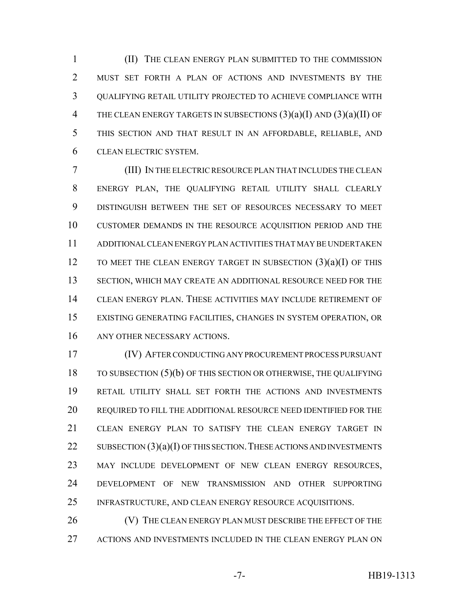(II) THE CLEAN ENERGY PLAN SUBMITTED TO THE COMMISSION MUST SET FORTH A PLAN OF ACTIONS AND INVESTMENTS BY THE QUALIFYING RETAIL UTILITY PROJECTED TO ACHIEVE COMPLIANCE WITH 4 THE CLEAN ENERGY TARGETS IN SUBSECTIONS  $(3)(a)(I)$  AND  $(3)(a)(II)$  OF THIS SECTION AND THAT RESULT IN AN AFFORDABLE, RELIABLE, AND CLEAN ELECTRIC SYSTEM.

 (III) IN THE ELECTRIC RESOURCE PLAN THAT INCLUDES THE CLEAN ENERGY PLAN, THE QUALIFYING RETAIL UTILITY SHALL CLEARLY DISTINGUISH BETWEEN THE SET OF RESOURCES NECESSARY TO MEET CUSTOMER DEMANDS IN THE RESOURCE ACQUISITION PERIOD AND THE ADDITIONAL CLEAN ENERGY PLAN ACTIVITIES THAT MAY BE UNDERTAKEN 12 TO MEET THE CLEAN ENERGY TARGET IN SUBSECTION  $(3)(a)(I)$  OF THIS SECTION, WHICH MAY CREATE AN ADDITIONAL RESOURCE NEED FOR THE CLEAN ENERGY PLAN. THESE ACTIVITIES MAY INCLUDE RETIREMENT OF EXISTING GENERATING FACILITIES, CHANGES IN SYSTEM OPERATION, OR ANY OTHER NECESSARY ACTIONS.

 (IV) AFTER CONDUCTING ANY PROCUREMENT PROCESS PURSUANT TO SUBSECTION (5)(b) OF THIS SECTION OR OTHERWISE, THE QUALIFYING RETAIL UTILITY SHALL SET FORTH THE ACTIONS AND INVESTMENTS REQUIRED TO FILL THE ADDITIONAL RESOURCE NEED IDENTIFIED FOR THE CLEAN ENERGY PLAN TO SATISFY THE CLEAN ENERGY TARGET IN 22 SUBSECTION  $(3)(a)(I)$  OF THIS SECTION. THESE ACTIONS AND INVESTMENTS MAY INCLUDE DEVELOPMENT OF NEW CLEAN ENERGY RESOURCES, DEVELOPMENT OF NEW TRANSMISSION AND OTHER SUPPORTING INFRASTRUCTURE, AND CLEAN ENERGY RESOURCE ACQUISITIONS.

26 (V) THE CLEAN ENERGY PLAN MUST DESCRIBE THE EFFECT OF THE ACTIONS AND INVESTMENTS INCLUDED IN THE CLEAN ENERGY PLAN ON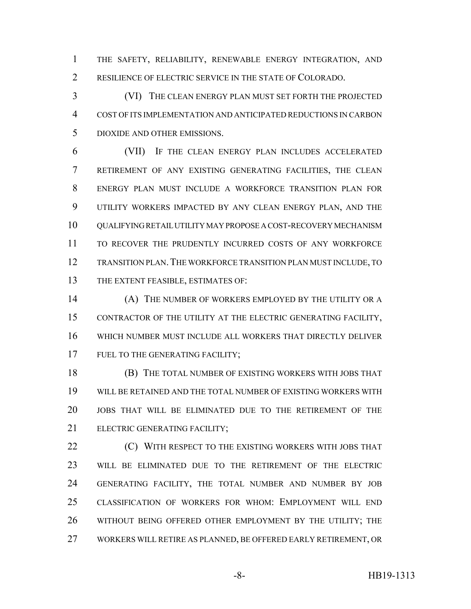THE SAFETY, RELIABILITY, RENEWABLE ENERGY INTEGRATION, AND RESILIENCE OF ELECTRIC SERVICE IN THE STATE OF COLORADO.

 (VI) THE CLEAN ENERGY PLAN MUST SET FORTH THE PROJECTED COST OF ITS IMPLEMENTATION AND ANTICIPATED REDUCTIONS IN CARBON DIOXIDE AND OTHER EMISSIONS.

 (VII) IF THE CLEAN ENERGY PLAN INCLUDES ACCELERATED RETIREMENT OF ANY EXISTING GENERATING FACILITIES, THE CLEAN ENERGY PLAN MUST INCLUDE A WORKFORCE TRANSITION PLAN FOR UTILITY WORKERS IMPACTED BY ANY CLEAN ENERGY PLAN, AND THE 10 OUALIFYING RETAIL UTILITY MAY PROPOSE A COST-RECOVERY MECHANISM TO RECOVER THE PRUDENTLY INCURRED COSTS OF ANY WORKFORCE TRANSITION PLAN.THE WORKFORCE TRANSITION PLAN MUST INCLUDE, TO THE EXTENT FEASIBLE, ESTIMATES OF:

 (A) THE NUMBER OF WORKERS EMPLOYED BY THE UTILITY OR A CONTRACTOR OF THE UTILITY AT THE ELECTRIC GENERATING FACILITY, WHICH NUMBER MUST INCLUDE ALL WORKERS THAT DIRECTLY DELIVER 17 FUEL TO THE GENERATING FACILITY;

 (B) THE TOTAL NUMBER OF EXISTING WORKERS WITH JOBS THAT WILL BE RETAINED AND THE TOTAL NUMBER OF EXISTING WORKERS WITH JOBS THAT WILL BE ELIMINATED DUE TO THE RETIREMENT OF THE ELECTRIC GENERATING FACILITY;

**(C) WITH RESPECT TO THE EXISTING WORKERS WITH JOBS THAT**  WILL BE ELIMINATED DUE TO THE RETIREMENT OF THE ELECTRIC GENERATING FACILITY, THE TOTAL NUMBER AND NUMBER BY JOB CLASSIFICATION OF WORKERS FOR WHOM: EMPLOYMENT WILL END 26 WITHOUT BEING OFFERED OTHER EMPLOYMENT BY THE UTILITY; THE WORKERS WILL RETIRE AS PLANNED, BE OFFERED EARLY RETIREMENT, OR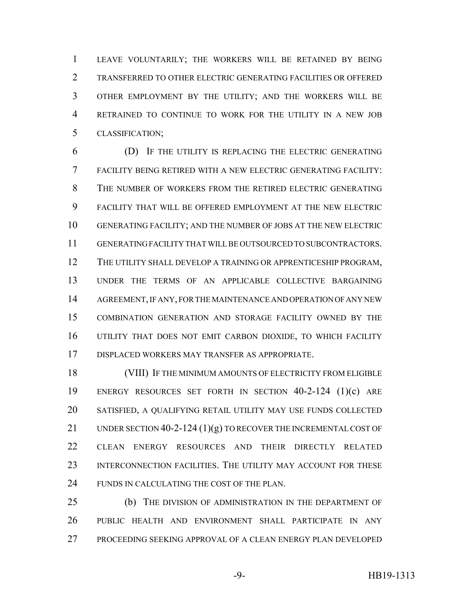LEAVE VOLUNTARILY; THE WORKERS WILL BE RETAINED BY BEING TRANSFERRED TO OTHER ELECTRIC GENERATING FACILITIES OR OFFERED OTHER EMPLOYMENT BY THE UTILITY; AND THE WORKERS WILL BE RETRAINED TO CONTINUE TO WORK FOR THE UTILITY IN A NEW JOB CLASSIFICATION;

 (D) IF THE UTILITY IS REPLACING THE ELECTRIC GENERATING FACILITY BEING RETIRED WITH A NEW ELECTRIC GENERATING FACILITY: THE NUMBER OF WORKERS FROM THE RETIRED ELECTRIC GENERATING FACILITY THAT WILL BE OFFERED EMPLOYMENT AT THE NEW ELECTRIC GENERATING FACILITY; AND THE NUMBER OF JOBS AT THE NEW ELECTRIC GENERATING FACILITY THAT WILL BE OUTSOURCED TO SUBCONTRACTORS. THE UTILITY SHALL DEVELOP A TRAINING OR APPRENTICESHIP PROGRAM, UNDER THE TERMS OF AN APPLICABLE COLLECTIVE BARGAINING AGREEMENT, IF ANY, FOR THE MAINTENANCE AND OPERATION OF ANY NEW COMBINATION GENERATION AND STORAGE FACILITY OWNED BY THE UTILITY THAT DOES NOT EMIT CARBON DIOXIDE, TO WHICH FACILITY DISPLACED WORKERS MAY TRANSFER AS APPROPRIATE.

 (VIII) IF THE MINIMUM AMOUNTS OF ELECTRICITY FROM ELIGIBLE ENERGY RESOURCES SET FORTH IN SECTION 40-2-124 (1)(c) ARE SATISFIED, A QUALIFYING RETAIL UTILITY MAY USE FUNDS COLLECTED 21 UNDER SECTION 40-2-124  $(1)(g)$  TO RECOVER THE INCREMENTAL COST OF CLEAN ENERGY RESOURCES AND THEIR DIRECTLY RELATED INTERCONNECTION FACILITIES. THE UTILITY MAY ACCOUNT FOR THESE FUNDS IN CALCULATING THE COST OF THE PLAN.

 (b) THE DIVISION OF ADMINISTRATION IN THE DEPARTMENT OF PUBLIC HEALTH AND ENVIRONMENT SHALL PARTICIPATE IN ANY PROCEEDING SEEKING APPROVAL OF A CLEAN ENERGY PLAN DEVELOPED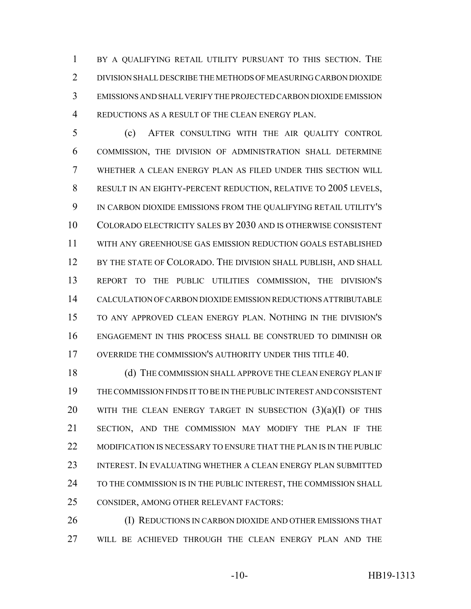1 BY A QUALIFYING RETAIL UTILITY PURSUANT TO THIS SECTION. THE DIVISION SHALL DESCRIBE THE METHODS OF MEASURING CARBON DIOXIDE EMISSIONS AND SHALL VERIFY THE PROJECTED CARBON DIOXIDE EMISSION REDUCTIONS AS A RESULT OF THE CLEAN ENERGY PLAN.

 (c) AFTER CONSULTING WITH THE AIR QUALITY CONTROL COMMISSION, THE DIVISION OF ADMINISTRATION SHALL DETERMINE WHETHER A CLEAN ENERGY PLAN AS FILED UNDER THIS SECTION WILL RESULT IN AN EIGHTY-PERCENT REDUCTION, RELATIVE TO 2005 LEVELS, IN CARBON DIOXIDE EMISSIONS FROM THE QUALIFYING RETAIL UTILITY'S COLORADO ELECTRICITY SALES BY 2030 AND IS OTHERWISE CONSISTENT WITH ANY GREENHOUSE GAS EMISSION REDUCTION GOALS ESTABLISHED 12 BY THE STATE OF COLORADO. THE DIVISION SHALL PUBLISH, AND SHALL REPORT TO THE PUBLIC UTILITIES COMMISSION, THE DIVISION'S CALCULATION OF CARBON DIOXIDE EMISSION REDUCTIONS ATTRIBUTABLE TO ANY APPROVED CLEAN ENERGY PLAN. NOTHING IN THE DIVISION'S ENGAGEMENT IN THIS PROCESS SHALL BE CONSTRUED TO DIMINISH OR 17 OVERRIDE THE COMMISSION'S AUTHORITY UNDER THIS TITLE 40.

18 (d) THE COMMISSION SHALL APPROVE THE CLEAN ENERGY PLAN IF THE COMMISSION FINDS IT TO BE IN THE PUBLIC INTEREST AND CONSISTENT 20 WITH THE CLEAN ENERGY TARGET IN SUBSECTION  $(3)(a)(I)$  of this SECTION, AND THE COMMISSION MAY MODIFY THE PLAN IF THE 22 MODIFICATION IS NECESSARY TO ENSURE THAT THE PLAN IS IN THE PUBLIC INTEREST. IN EVALUATING WHETHER A CLEAN ENERGY PLAN SUBMITTED 24 TO THE COMMISSION IS IN THE PUBLIC INTEREST, THE COMMISSION SHALL CONSIDER, AMONG OTHER RELEVANT FACTORS:

26 (I) REDUCTIONS IN CARBON DIOXIDE AND OTHER EMISSIONS THAT WILL BE ACHIEVED THROUGH THE CLEAN ENERGY PLAN AND THE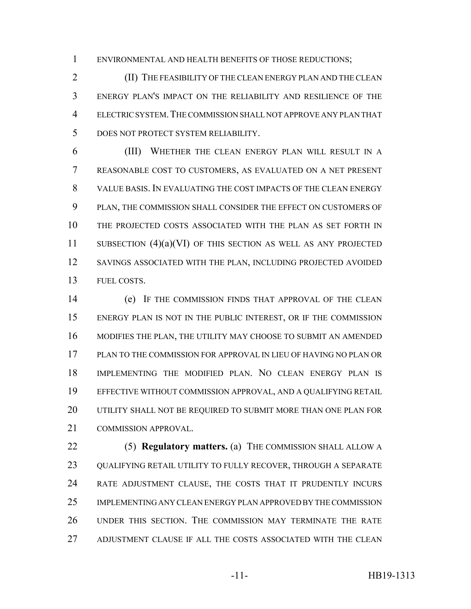ENVIRONMENTAL AND HEALTH BENEFITS OF THOSE REDUCTIONS;

 (II) THE FEASIBILITY OF THE CLEAN ENERGY PLAN AND THE CLEAN ENERGY PLAN'S IMPACT ON THE RELIABILITY AND RESILIENCE OF THE ELECTRIC SYSTEM.THE COMMISSION SHALL NOT APPROVE ANY PLAN THAT DOES NOT PROTECT SYSTEM RELIABILITY.

 (III) WHETHER THE CLEAN ENERGY PLAN WILL RESULT IN A REASONABLE COST TO CUSTOMERS, AS EVALUATED ON A NET PRESENT VALUE BASIS. IN EVALUATING THE COST IMPACTS OF THE CLEAN ENERGY PLAN, THE COMMISSION SHALL CONSIDER THE EFFECT ON CUSTOMERS OF THE PROJECTED COSTS ASSOCIATED WITH THE PLAN AS SET FORTH IN SUBSECTION (4)(a)(VI) OF THIS SECTION AS WELL AS ANY PROJECTED SAVINGS ASSOCIATED WITH THE PLAN, INCLUDING PROJECTED AVOIDED FUEL COSTS.

 (e) IF THE COMMISSION FINDS THAT APPROVAL OF THE CLEAN ENERGY PLAN IS NOT IN THE PUBLIC INTEREST, OR IF THE COMMISSION MODIFIES THE PLAN, THE UTILITY MAY CHOOSE TO SUBMIT AN AMENDED PLAN TO THE COMMISSION FOR APPROVAL IN LIEU OF HAVING NO PLAN OR IMPLEMENTING THE MODIFIED PLAN. NO CLEAN ENERGY PLAN IS EFFECTIVE WITHOUT COMMISSION APPROVAL, AND A QUALIFYING RETAIL UTILITY SHALL NOT BE REQUIRED TO SUBMIT MORE THAN ONE PLAN FOR COMMISSION APPROVAL.

 (5) **Regulatory matters.** (a) THE COMMISSION SHALL ALLOW A QUALIFYING RETAIL UTILITY TO FULLY RECOVER, THROUGH A SEPARATE RATE ADJUSTMENT CLAUSE, THE COSTS THAT IT PRUDENTLY INCURS IMPLEMENTING ANY CLEAN ENERGY PLAN APPROVED BY THE COMMISSION UNDER THIS SECTION. THE COMMISSION MAY TERMINATE THE RATE ADJUSTMENT CLAUSE IF ALL THE COSTS ASSOCIATED WITH THE CLEAN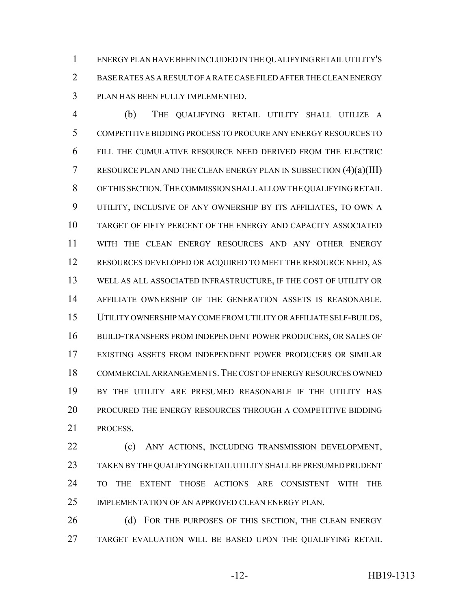ENERGY PLAN HAVE BEEN INCLUDED IN THE QUALIFYING RETAIL UTILITY'S BASE RATES AS A RESULT OF A RATE CASE FILED AFTER THE CLEAN ENERGY PLAN HAS BEEN FULLY IMPLEMENTED.

 (b) THE QUALIFYING RETAIL UTILITY SHALL UTILIZE A COMPETITIVE BIDDING PROCESS TO PROCURE ANY ENERGY RESOURCES TO FILL THE CUMULATIVE RESOURCE NEED DERIVED FROM THE ELECTRIC 7 RESOURCE PLAN AND THE CLEAN ENERGY PLAN IN SUBSECTION  $(4)(a)(III)$  OF THIS SECTION.THE COMMISSION SHALL ALLOW THE QUALIFYING RETAIL UTILITY, INCLUSIVE OF ANY OWNERSHIP BY ITS AFFILIATES, TO OWN A TARGET OF FIFTY PERCENT OF THE ENERGY AND CAPACITY ASSOCIATED WITH THE CLEAN ENERGY RESOURCES AND ANY OTHER ENERGY RESOURCES DEVELOPED OR ACQUIRED TO MEET THE RESOURCE NEED, AS WELL AS ALL ASSOCIATED INFRASTRUCTURE, IF THE COST OF UTILITY OR AFFILIATE OWNERSHIP OF THE GENERATION ASSETS IS REASONABLE. UTILITY OWNERSHIP MAY COME FROM UTILITY OR AFFILIATE SELF-BUILDS, BUILD-TRANSFERS FROM INDEPENDENT POWER PRODUCERS, OR SALES OF EXISTING ASSETS FROM INDEPENDENT POWER PRODUCERS OR SIMILAR COMMERCIAL ARRANGEMENTS.THE COST OF ENERGY RESOURCES OWNED BY THE UTILITY ARE PRESUMED REASONABLE IF THE UTILITY HAS PROCURED THE ENERGY RESOURCES THROUGH A COMPETITIVE BIDDING PROCESS.

 (c) ANY ACTIONS, INCLUDING TRANSMISSION DEVELOPMENT, TAKEN BY THE QUALIFYING RETAIL UTILITY SHALL BE PRESUMED PRUDENT TO THE EXTENT THOSE ACTIONS ARE CONSISTENT WITH THE IMPLEMENTATION OF AN APPROVED CLEAN ENERGY PLAN.

26 (d) FOR THE PURPOSES OF THIS SECTION, THE CLEAN ENERGY TARGET EVALUATION WILL BE BASED UPON THE QUALIFYING RETAIL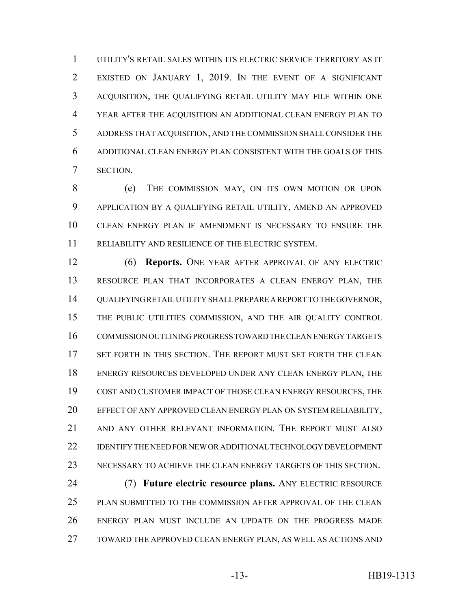UTILITY'S RETAIL SALES WITHIN ITS ELECTRIC SERVICE TERRITORY AS IT EXISTED ON JANUARY 1, 2019. IN THE EVENT OF A SIGNIFICANT ACQUISITION, THE QUALIFYING RETAIL UTILITY MAY FILE WITHIN ONE YEAR AFTER THE ACQUISITION AN ADDITIONAL CLEAN ENERGY PLAN TO ADDRESS THAT ACQUISITION, AND THE COMMISSION SHALL CONSIDER THE ADDITIONAL CLEAN ENERGY PLAN CONSISTENT WITH THE GOALS OF THIS SECTION.

 (e) THE COMMISSION MAY, ON ITS OWN MOTION OR UPON APPLICATION BY A QUALIFYING RETAIL UTILITY, AMEND AN APPROVED CLEAN ENERGY PLAN IF AMENDMENT IS NECESSARY TO ENSURE THE RELIABILITY AND RESILIENCE OF THE ELECTRIC SYSTEM.

 (6) **Reports.** ONE YEAR AFTER APPROVAL OF ANY ELECTRIC RESOURCE PLAN THAT INCORPORATES A CLEAN ENERGY PLAN, THE QUALIFYING RETAIL UTILITY SHALL PREPARE A REPORT TO THE GOVERNOR, THE PUBLIC UTILITIES COMMISSION, AND THE AIR QUALITY CONTROL COMMISSION OUTLINING PROGRESS TOWARD THE CLEAN ENERGY TARGETS SET FORTH IN THIS SECTION. THE REPORT MUST SET FORTH THE CLEAN ENERGY RESOURCES DEVELOPED UNDER ANY CLEAN ENERGY PLAN, THE COST AND CUSTOMER IMPACT OF THOSE CLEAN ENERGY RESOURCES, THE EFFECT OF ANY APPROVED CLEAN ENERGY PLAN ON SYSTEM RELIABILITY, AND ANY OTHER RELEVANT INFORMATION. THE REPORT MUST ALSO IDENTIFY THE NEED FOR NEW OR ADDITIONAL TECHNOLOGY DEVELOPMENT NECESSARY TO ACHIEVE THE CLEAN ENERGY TARGETS OF THIS SECTION.

 (7) **Future electric resource plans.** ANY ELECTRIC RESOURCE PLAN SUBMITTED TO THE COMMISSION AFTER APPROVAL OF THE CLEAN ENERGY PLAN MUST INCLUDE AN UPDATE ON THE PROGRESS MADE TOWARD THE APPROVED CLEAN ENERGY PLAN, AS WELL AS ACTIONS AND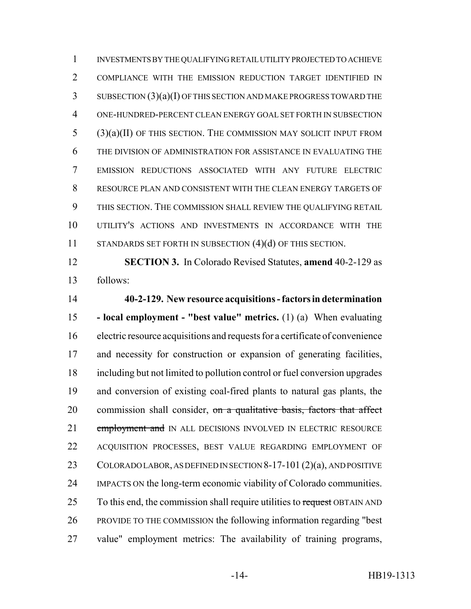INVESTMENTS BY THE QUALIFYING RETAIL UTILITY PROJECTED TO ACHIEVE COMPLIANCE WITH THE EMISSION REDUCTION TARGET IDENTIFIED IN SUBSECTION (3)(a)(I) OF THIS SECTION AND MAKE PROGRESS TOWARD THE ONE-HUNDRED-PERCENT CLEAN ENERGY GOAL SET FORTH IN SUBSECTION (3)(a)(II) OF THIS SECTION. THE COMMISSION MAY SOLICIT INPUT FROM THE DIVISION OF ADMINISTRATION FOR ASSISTANCE IN EVALUATING THE EMISSION REDUCTIONS ASSOCIATED WITH ANY FUTURE ELECTRIC RESOURCE PLAN AND CONSISTENT WITH THE CLEAN ENERGY TARGETS OF THIS SECTION. THE COMMISSION SHALL REVIEW THE QUALIFYING RETAIL UTILITY'S ACTIONS AND INVESTMENTS IN ACCORDANCE WITH THE 11 STANDARDS SET FORTH IN SUBSECTION (4)(d) OF THIS SECTION.

 **SECTION 3.** In Colorado Revised Statutes, **amend** 40-2-129 as follows:

 **40-2-129. New resource acquisitions - factors in determination - local employment - "best value" metrics.** (1) (a) When evaluating electric resource acquisitions and requests for a certificate of convenience and necessity for construction or expansion of generating facilities, including but not limited to pollution control or fuel conversion upgrades and conversion of existing coal-fired plants to natural gas plants, the 20 commission shall consider, on a qualitative basis, factors that affect 21 employment and IN ALL DECISIONS INVOLVED IN ELECTRIC RESOURCE ACQUISITION PROCESSES, BEST VALUE REGARDING EMPLOYMENT OF COLORADO LABOR, AS DEFINED IN SECTION 8-17-101 (2)(a), AND POSITIVE IMPACTS ON the long-term economic viability of Colorado communities. 25 To this end, the commission shall require utilities to request OBTAIN AND PROVIDE TO THE COMMISSION the following information regarding "best value" employment metrics: The availability of training programs,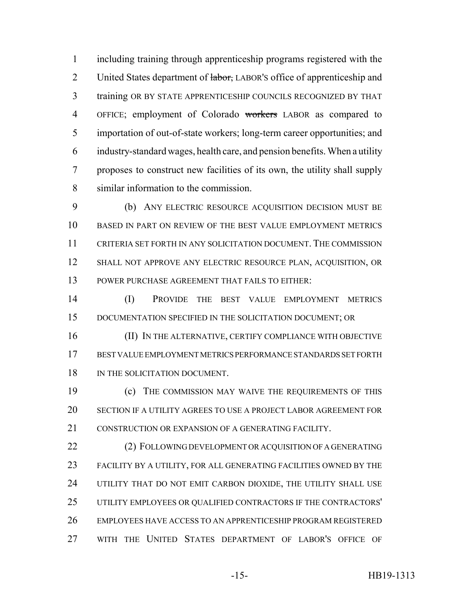including training through apprenticeship programs registered with the 2 United States department of labor, LABOR's office of apprenticeship and training OR BY STATE APPRENTICESHIP COUNCILS RECOGNIZED BY THAT OFFICE; employment of Colorado workers LABOR as compared to importation of out-of-state workers; long-term career opportunities; and industry-standard wages, health care, and pension benefits. When a utility proposes to construct new facilities of its own, the utility shall supply similar information to the commission.

 (b) ANY ELECTRIC RESOURCE ACQUISITION DECISION MUST BE BASED IN PART ON REVIEW OF THE BEST VALUE EMPLOYMENT METRICS CRITERIA SET FORTH IN ANY SOLICITATION DOCUMENT. THE COMMISSION SHALL NOT APPROVE ANY ELECTRIC RESOURCE PLAN, ACQUISITION, OR POWER PURCHASE AGREEMENT THAT FAILS TO EITHER:

 (I) PROVIDE THE BEST VALUE EMPLOYMENT METRICS DOCUMENTATION SPECIFIED IN THE SOLICITATION DOCUMENT; OR

 (II) IN THE ALTERNATIVE, CERTIFY COMPLIANCE WITH OBJECTIVE BEST VALUE EMPLOYMENT METRICS PERFORMANCE STANDARDS SET FORTH 18 IN THE SOLICITATION DOCUMENT.

 (c) THE COMMISSION MAY WAIVE THE REQUIREMENTS OF THIS SECTION IF A UTILITY AGREES TO USE A PROJECT LABOR AGREEMENT FOR 21 CONSTRUCTION OR EXPANSION OF A GENERATING FACILITY.

 (2) FOLLOWING DEVELOPMENT OR ACQUISITION OF A GENERATING FACILITY BY A UTILITY, FOR ALL GENERATING FACILITIES OWNED BY THE UTILITY THAT DO NOT EMIT CARBON DIOXIDE, THE UTILITY SHALL USE UTILITY EMPLOYEES OR QUALIFIED CONTRACTORS IF THE CONTRACTORS' EMPLOYEES HAVE ACCESS TO AN APPRENTICESHIP PROGRAM REGISTERED WITH THE UNITED STATES DEPARTMENT OF LABOR'S OFFICE OF